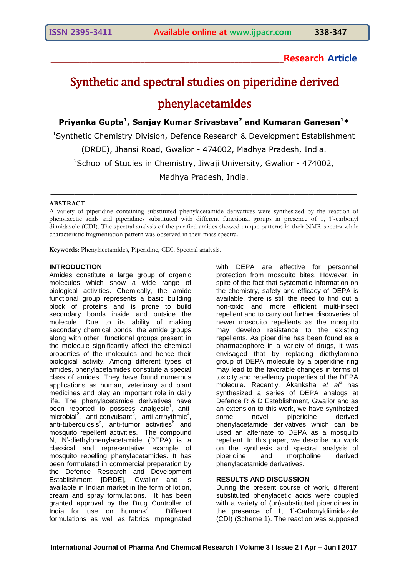**\_\_\_\_\_\_\_\_\_\_\_\_\_\_\_\_\_\_\_\_\_\_\_\_\_\_\_\_\_\_\_\_\_\_\_\_\_\_\_\_\_\_\_\_\_\_\_\_\_\_\_\_\_\_\_\_\_Research Article**

# Synthetic and spectral studies on piperidine derived phenylacetamides

**Priyanka Gupta<sup>1</sup> , Sanjay Kumar Srivastava<sup>2</sup> and Kumaran Ganesan<sup>1</sup>\***

<sup>1</sup>Synthetic Chemistry Division, Defence Research & Development Establishment

(DRDE), Jhansi Road, Gwalior - 474002, Madhya Pradesh, India.

<sup>2</sup>School of Studies in Chemistry, Jiwaji University, Gwalior - 474002,

Madhya Pradesh, India.

\_\_\_\_\_\_\_\_\_\_\_\_\_\_\_\_\_\_\_\_\_\_\_\_\_\_\_\_\_\_\_\_\_\_\_\_\_\_\_\_\_\_\_\_\_\_\_\_\_\_\_\_\_\_\_\_\_\_\_\_\_\_\_\_

#### **ABSTRACT**

A variety of piperidine containing substituted phenylacetamide derivatives were synthesized by the reaction of phenylacetic acids and piperidines substituted with different functional groups in presence of 1, 1'-carbonyl diimidazole (CDI). The spectral analysis of the purified amides showed unique patterns in their NMR spectra while characteristic fragmentation pattern was observed in their mass spectra.

**Keywords**: Phenylacetamides, Piperidine, CDI, Spectral analysis.

#### **INTRODUCTION**

Amides constitute a large group of organic molecules which show a wide range of biological activities. Chemically, the amide functional group represents a basic building block of proteins and is prone to build secondary bonds inside and outside the molecule. Due to its ability of making secondary chemical bonds, the amide groups along with other functional groups present in the molecule significantly affect the chemical properties of the molecules and hence their biological activity. Among different types of amides, phenylacetamides constitute a special class of amides. They have found numerous applications as human, veterinary and plant medicines and play an important role in daily life. The phenylacetamide derivatives have been reported to possess analgesic<sup>1</sup>, anti $microbia<sup>2</sup>$ , anti-convulsant<sup>3</sup>, anti-arrhythmic<sup>4</sup>, anti-tuberculosis<sup>5</sup>, anti-tumor activities<sup>6</sup> and mosquito repellent activities. The compound N, N'-diethylphenylacetamide (DEPA) is a classical and representative example of mosquito repelling phenylacetamides. It has been formulated in commercial preparation by the Defence Research and Development Establishment [DRDE], Gwalior and is available in Indian market in the form of lotion, cream and spray formulations. It has been granted approval by the Drug Controller of  $India$  for use on humans'. . Different formulations as well as fabrics impregnated

with DEPA are effective for personnel protection from mosquito bites. However, in spite of the fact that systematic information on the chemistry, safety and efficacy of DEPA is available, there is still the need to find out a non-toxic and more efficient multi-insect repellent and to carry out further discoveries of newer mosquito repellents as the mosquito may develop resistance to the existing repellents. As piperidine has been found as a pharmacophore in a variety of drugs, it was envisaged that by replacing diethylamino group of DEPA molecule by a piperidine ring may lead to the favorable changes in terms of toxicity and repellency properties of the DEPA molecule. Recently, Akanksha *et al<sup>8</sup>* has synthesized a series of DEPA analogs at Defence R & D Establishment, Gwalior and as an extension to this work, we have synthsized<br>some novel piperidine derived some novel piperidine phenylacetamide derivatives which can be used an alternate to DEPA as a mosquito repellent. In this paper, we describe our work on the synthesis and spectral analysis of piperidine and morpholine derived phenylacetamide derivatives.

#### **RESULTS AND DISCUSSION**

During the present course of work, different substituted phenylacetic acids were coupled with a variety of (un)substituted piperidines in the presence of 1, 1'-Carbonyldiimidazole (CDI) (Scheme 1). The reaction was supposed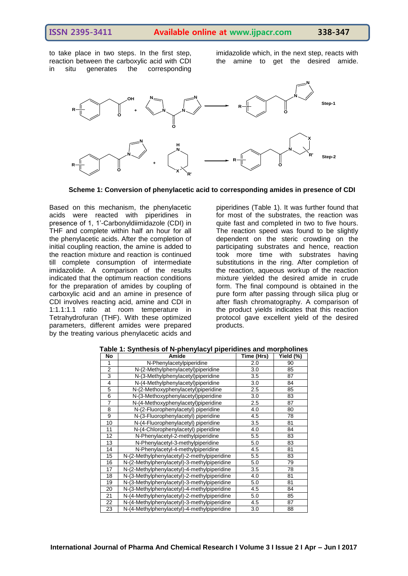to take place in two steps. In the first step, reaction between the carboxylic acid with CDI in situ generates the corresponding imidazolide which, in the next step, reacts with the amine to get the desired amide.



**Scheme 1: Conversion of phenylacetic acid to corresponding amides in presence of CDI**

Based on this mechanism, the phenylacetic acids were reacted with piperidines in presence of 1, 1'-Carbonyldiimidazole (CDI) in THF and complete within half an hour for all the phenylacetic acids. After the completion of initial coupling reaction, the amine is added to the reaction mixture and reaction is continued till complete consumption of intermediate imidazolide. A comparison of the results indicated that the optimum reaction conditions for the preparation of amides by coupling of carboxylic acid and an amine in presence of CDI involves reacting acid, amine and CDI in 1:1.1:1.1 ratio at room temperature in Tetrahydrofuran (THF). With these optimized parameters, different amides were prepared by the treating various phenylacetic acids and

piperidines (Table 1). It was further found that for most of the substrates, the reaction was quite fast and completed in two to five hours. The reaction speed was found to be slightly dependent on the steric crowding on the participating substrates and hence, reaction took more time with substrates having substitutions in the ring. After completion of the reaction, aqueous workup of the reaction mixture yielded the desired amide in crude form. The final compound is obtained in the pure form after passing through silica plug or after flash chromatography. A comparison of the product yields indicates that this reaction protocol gave excellent yield of the desired products.

| No             | Amide                                       | Time (Hrs) | Yield (%) |
|----------------|---------------------------------------------|------------|-----------|
| 1              | N-Phenylacetylpiperidine                    | 2.0        | 90        |
| $\overline{2}$ | N-(2-Methylphenylacetyl)piperidine          | 3.0        | 85        |
| 3              | N-(3-Methylphenylacetyl)piperidine          | 3.5        | 87        |
| 4              | N-(4-Methylphenylacetyl)piperidine          | 3.0        | 84        |
| 5              | N-(2-Methoxyphenylacetyl)piperidine         | 2.5        | 85        |
| 6              | N-(3-Methoxyphenylacetyl)piperidine         | 3.0        | 83        |
| $\overline{7}$ | N-(4-Methoxyphenylacetyl)piperidine         | 2.5        | 87        |
| 8              | N-(2-Fluorophenylacetyl) piperidine         | 4.0        | 80        |
| 9              | N-(3-Fluorophenylacetyl) piperidine         | 4.5        | 78        |
| 10             | N-(4-Fluorophenylacetyl) piperidine         | 3.5        | 81        |
| 11             | N-(4-Chlorophenylacetyl) piperidine         | 4.0        | 84        |
| 12             | N-Phenylacetyl-2-methylpiperidine           | 5.5        | 83        |
| 13             | N-Phenylacetyl-3-methylpiperidine           | 5.0        | 83        |
| 14             | N-Phenylacetyl-4-methylpiperidine           | 4.5        | 81        |
| 15             | N-(2-Methylphenylacetyl)-2-methylpiperidine | 5.5        | 83        |
| 16             | N-(2-Methylphenylacetyl)-3-methylpiperidine | 5.0        | 79        |
| 17             | N-(2-Methylphenylacetyl)-4-methylpiperidine | 3.5        | 78        |
| 18             | N-(3-Methylphenylacetyl)-2-methylpiperidine | 4.0        | 81        |
| 19             | N-(3-Methylphenylacetyl)-3-methylpiperidine | 5.0        | 81        |
| 20             | N-(3-Methylphenylacetyl)-4-methylpiperidine | 4.5        | 84        |
| 21             | N-(4-Methylphenylacetyl)-2-methylpiperidine | 5.0        | 85        |
| 22             | N-(4-Methylphenylacetyl)-3-methylpiperidine | 4.5        | 87        |
| 23             | N-(4-Methylphenylacetyl)-4-methylpiperidine | 3.0        | 88        |

**Table 1: Synthesis of N-phenylacyl piperidines and morpholines**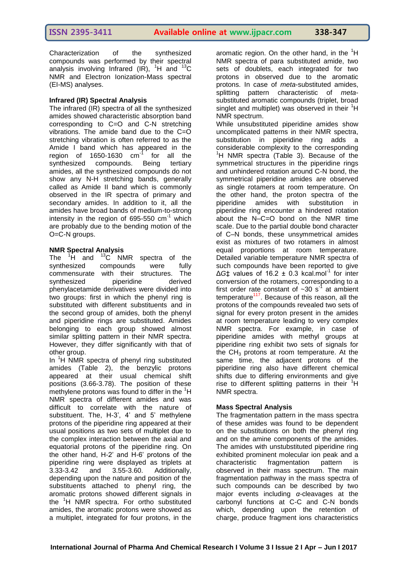Characterization of the synthesized compounds was performed by their spectral analysis involving Infrared (IR),  $^1$ H and  $^{13}$ C NMR and Electron Ionization-Mass spectral (EI-MS) analyses.

### **Infrared (IR) Spectral Analysis**

The infrared (IR) spectra of all the synthesized amides showed characteristic absorption band corresponding to C=O and C-N stretching vibrations. The amide band due to the C=O stretching vibration is often referred to as the Amide I band which has appeared in the region of 1650-1630 cm-1 for all the synthesized compounds. Being tertiary amides, all the synthesized compounds do not show any N-H stretching bands, generally called as Amide II band which is commonly observed in the IR spectra of primary and secondary amides. In addition to it, all the amides have broad bands of medium-to-strong intensity in the region of  $695-550$  cm<sup>-1</sup> which are probably due to the bending motion of the O=C-N groups.

#### **NMR Spectral Analysis**

The  ${}^{1}\text{H}$  and  ${}^{13}\text{C}$  NMR spectra of the synthesized compounds were fully synthesized compounds were commensurate with their structures. The synthesized piperidine derived phenylacetamide derivatives were divided into two groups: first in which the phenyl ring is substituted with different substituents and in the second group of amides, both the phenyl and piperidine rings are substituted. Amides belonging to each group showed almost similar splitting pattern in their NMR spectra. However, they differ significantly with that of other group.

In <sup>1</sup>H NMR spectra of phenyl ring substituted amides (Table 2), the benzylic protons appeared at their usual chemical shift positions (3.66-3.78). The position of these methylene protons was found to differ in the <sup>1</sup>H NMR spectra of different amides and was difficult to correlate with the nature of substituent. The, H-3', 4' and 5' methylene protons of the piperidine ring appeared at their usual positions as two sets of multiplet due to the complex interaction between the axial and equatorial protons of the piperidine ring. On the other hand, H-2' and H-6' protons of the piperidine ring were displayed as triplets at 3.33-3.42 and 3.55-3.60. Additionally, depending upon the nature and position of the substituents attached to phenyl ring, the aromatic protons showed different signals in the <sup>1</sup>H NMR spectra. For ortho substituted amides, the aromatic protons were showed as a multiplet, integrated for four protons, in the

aromatic region. On the other hand, in the  ${}^{1}H$ NMR spectra of para substituted amide, two sets of doublets, each integrated for two protons in observed due to the aromatic protons. In case of *meta*-substituted amides, splitting pattern characteristic of *meta*substituted aromatic compounds (triplet, broad singlet and multiplet) was observed in their  ${}^{1}H$ NMR spectrum.

While unsubstituted piperidine amides show uncomplicated patterns in their NMR spectra, substitution in piperidine ring adds a considerable complexity to the corresponding  ${}^{1}$ H NMR spectra (Table 3). Because of the symmetrical structures in the piperidine rings and unhindered rotation around C-N bond, the symmetrical piperidine amides are observed as single rotamers at room temperature. On the other hand, the proton spectra of the piperidine amides with substitution in piperidine ring encounter a hindered rotation about the N–C=O bond on the NMR time scale. Due to the partial double bond character of C–N bonds, these unsymmetrical amides exist as mixtures of two rotamers in almost equal proportions at room temperature. Detailed variable temperature NMR spectra of such compounds have been reported to give  $\Delta G$ ‡ values of 16.2 ± 0.3 kcal.mol<sup>-1</sup> for inter conversion of the rotamers, corresponding to a first order rate constant of  $\sim 30$  s<sup>-1</sup> at ambient temperature<sup>117</sup>. Because of this reason, all the protons of the compounds revealed two sets of signal for every proton present in the amides at room temperature leading to very complex NMR spectra. For example, in case of piperidine amides with methyl groups at piperidine ring exhibit two sets of signals for the  $CH<sub>3</sub>$  protons at room temperature. At the same time, the adjacent protons of the piperidine ring also have different chemical shifts due to differing environments and give rise to different splitting patterns in their  $H$ NMR spectra.

# **Mass Spectral Analysis**

The fragmentation pattern in the mass spectra of these amides was found to be dependent on the substitutions on both the phenyl ring and on the amine components of the amides. The amides with unstubstituted piperidine ring exhibited prominent molecular ion peak and a characteristic fragmentation pattern is observed in their mass spectrum. The main fragmentation pathway in the mass spectra of such compounds can be described by two major events including *α-*cleavages at the carbonyl functions at C-C and C-N bonds which, depending upon the retention of charge, produce fragment ions characteristics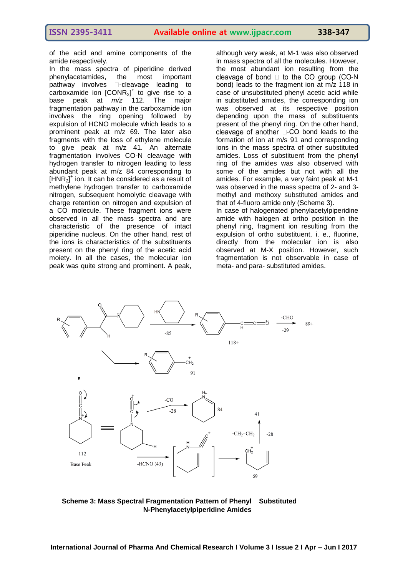of the acid and amine components of the amide respectively.

In the mass spectra of piperidine derived phenylacetamides, the most important pathway involves  $\square$ -cleavage leading to carboxamide ion  $[CONR<sub>2</sub>]<sup>+</sup>$  to give rise to a base peak at *m/z* 112. The major fragmentation pathway in the carboxamide ion involves the ring opening followed by expulsion of HCNO molecule which leads to a prominent peak at m/z 69. The later also fragments with the loss of ethylene molecule to give peak at m/z 41. An alternate fragmentation involves CO-N cleavage with hydrogen transfer to nitrogen leading to less abundant peak at m/z 84 corresponding to  $[HNR<sub>2</sub>]$ <sup>+</sup> ion. It can be considered as a result of methylene hydrogen transfer to carboxamide nitrogen, subsequent homolytic cleavage with charge retention on nitrogen and expulsion of a CO molecule. These fragment ions were observed in all the mass spectra and are characteristic of the presence of intact piperidine nucleus. On the other hand, rest of the ions is characteristics of the substituents present on the phenyl ring of the acetic acid moiety. In all the cases, the molecular ion peak was quite strong and prominent. A peak, although very weak, at M-1 was also observed in mass spectra of all the molecules. However, the most abundant ion resulting from the cleavage of bond  $\square$  to the CO group (CO-N bond) leads to the fragment ion at m/z 118 in case of unsubstituted phenyl acetic acid while in substituted amides, the corresponding ion was observed at its respective position depending upon the mass of substituents present of the phenyl ring. On the other hand, cleavage of another  $\square$ -CO bond leads to the formation of ion at m/s 91 and corresponding ions in the mass spectra of other substituted amides. Loss of substituent from the phenyl ring of the amides was also observed with some of the amides but not with all the amides. For example, a very faint peak at M-1 was observed in the mass spectra of 2- and 3 methyl and methoxy substituted amides and that of 4-fluoro amide only (Scheme 3). In case of halogenated phenylacetylpiperidine amide with halogen at ortho position in the phenyl ring, fragment ion resulting from the expulsion of ortho substituent, i. e., fluorine, directly from the molecular ion is also observed at M-X position. However, such fragmentation is not observable in case of meta- and para- substituted amides.



**Scheme 3: Mass Spectral Fragmentation Pattern of Phenyl Substituted N-Phenylacetylpiperidine Amides**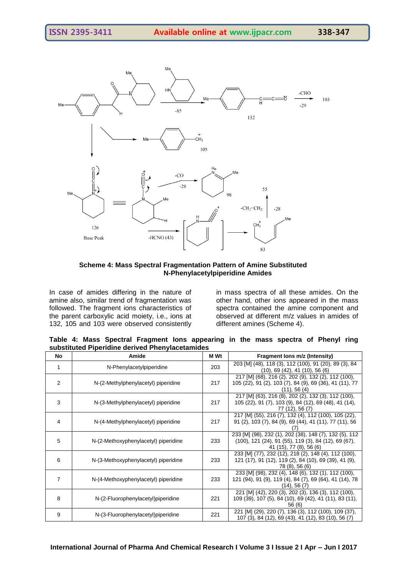

**Scheme 4: Mass Spectral Fragmentation Pattern of Amine Substituted N-Phenylacetylpiperidine Amides**

In case of amides differing in the nature of amine also, similar trend of fragmentation was followed. The fragment ions characteristics of the parent carboxylic acid moiety, i.e., ions at 132, 105 and 103 were observed consistently in mass spectra of all these amides. On the other hand, other ions appeared in the mass spectra contained the amine component and observed at different m/z values in amides of different amines (Scheme 4).

**Table 4: Mass Spectral Fragment Ions appearing in the mass spectra of Phenyl ring substituted Piperidine derived Phenylacetamides**

| No             | Amide                                | M Wt | Fragment lons m/z (Intensity)                                                                                                                               |
|----------------|--------------------------------------|------|-------------------------------------------------------------------------------------------------------------------------------------------------------------|
| 1              | N-Phenylacetylpiperidine             | 203  | 203 [M] (48), 118 (3), 112 (100), 91 (20), 89 (3), 84<br>$(10)$ , 69 $(42)$ , 41 $(10)$ , 56 $(6)$                                                          |
| $\overline{2}$ | N-(2-Methylphenylacetyl) piperidine  | 217  | 217 [M] (68), 216 (2), 202 (9), 132 (2), 112 (100),<br>105 (22), 91 (2), 103 (7), 84 (9), 69 (36), 41 (11), 77<br>(11), 56(4)                               |
| 3              | N-(3-Methylphenylacetyl) piperidine  | 217  | 217 [M] (63), 216 (8), 202 (2), 132 (3), 112 (100),<br>105 (22), 91 (7), 103 (9), 84 (12), 69 (48), 41 (14),<br>77 (12), 56 (7)                             |
| 4              | N-(4-Methylphenylacetyl) piperidine  | 217  | 217 [M] (55), 216 (7), 132 (4), 112 (100), 105 (22),<br>91 (2), 103 (7), 84 (9), 69 (44), 41 (11), 77 (11), 56                                              |
| 5              | N-(2-Methoxyphenylacetyl) piperidine | 233  | 233 [M] (98), 232 (1), 202 (38), 148 (7), 132 (5), 112<br>$(100)$ , 121 $(24)$ , 91 $(55)$ , 119 $(3)$ , 84 $(12)$ , 69 $(67)$ ,<br>41 (15), 77 (8), 56 (6) |
| 6              | N-(3-Methoxyphenylacetyl) piperidine | 233  | 233 [M] (77), 232 (12), 218 (2), 148 (4), 112 (100),<br>121 (17), 91 (12), 119 (2), 84 (10), 69 (39), 41 (9),<br>78 (8), 56 (6)                             |
| 7              | N-(4-Methoxyphenylacetyl) piperidine | 233  | 233 [M] (98), 232 (4), 148 (6), 132 (1), 112 (100),<br>121 (94), 91 (9), 119 (4), 84 (7), 69 (64), 41 (14), 78<br>$(14)$ , 56 $(7)$                         |
| 8              | N-(2-Fluorophenylacetyl)piperidine   | 221  | 221 [M] (42), 220 (3), 202 (3), 136 (3), 112 (100),<br>109 (39), 107 (5), 84 (10), 69 (42), 41 (11), 83 (11),<br>56 (6)                                     |
| 9              | N-(3-Fluorophenylacetyl)piperidine   | 221  | 221 [M] (29), 220 (7), 136 (3), 112 (100), 109 (37),<br>107 (3), 84 (12), 69 (43), 41 (12), 83 (10), 56 (7)                                                 |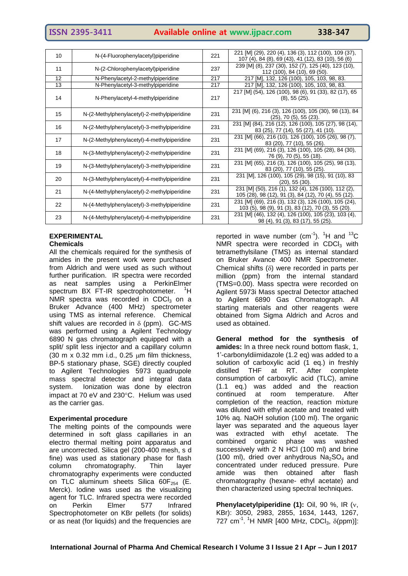# **ISSN 2395-3411 Available online at www.ijpacr.com 338-347**

| 10 | N-(4-Fluorophenylacetyl)piperidine          | 221 | 221 [M] (29), 220 (4), 136 (3), 112 (100), 109 (37),<br>107 (4), 84 (8), 69 (43), 41 (12), 83 (10), 56 (6)  |
|----|---------------------------------------------|-----|-------------------------------------------------------------------------------------------------------------|
| 11 | N-(2-Chlorophenylacetyl) piperidine         | 237 | 239 [M] (8), 237 (30), 152 (7), 125 (40), 123 (10),<br>112 (100), 84 (10), 69 (50).                         |
| 12 | N-Phenylacetyl-2-methylpiperidine           | 217 | 217 [M], 132, 126 (100), 105, 103, 98, 83.                                                                  |
| 13 | N-Phenylacetyl-3-methylpiperidine           | 217 | 217 [M], 132, 126 (100), 105, 103, 98, 83.                                                                  |
| 14 | N-Phenylacetyl-4-methylpiperidine           | 217 | 217 [M] (54), 126 (100), 98 (6), 91 (33), 82 (17), 65<br>(8), 55(25).                                       |
| 15 | N-(2-Methylphenylacetyl)-2-methylpiperidine | 231 | 231 [M] (6), 216 (3), 126 (100), 105 (30), 98 (13), 84<br>$(25)$ , 70 $(5)$ , 55 $(23)$ .                   |
| 16 | N-(2-Methylphenylacetyl)-3-methylpiperidine | 231 | 231 [M] (84), 216 (12), 126 (100), 105 (27), 98 (14),<br>83 (25), 77 (14), 55 (27), 41 (10).                |
| 17 | N-(2-Methylphenylacetyl)-4-methylpiperidine | 231 | 231 [M] (66), 216 (10), 126 (100), 105 (26), 98 (7),<br>83 (20), 77 (10), 55 (26).                          |
| 18 | N-(3-Methylphenylacetyl)-2-methylpiperidine | 231 | 231 [M] (69), 216 (3), 126 (100), 105 (28), 84 (30),<br>76 (9), 70 (5), 55 (18).                            |
| 19 | N-(3-Methylphenylacetyl)-3-methylpiperidine | 231 | 231 [M] (65), 216 (3), 126 (100), 105 (25), 98 (13),<br>83 (20), 77 (10), 55 (25).                          |
| 20 | N-(3-Methylphenylacetyl)-4-methylpiperidine | 231 | 231 [M], 126 (100), 105 (29), 98 (15), 91 (10), 83<br>$(20)$ , 55 $(30)$ .                                  |
| 21 | N-(4-Methylphenylacetyl)-2-methylpiperidine | 231 | 231 [M] (50), 216 (1), 132 (4), 126 (100), 112 (2),<br>105 (28), 98 (12), 91 (3), 84 (12), 70 (4), 55 (12). |
| 22 | N-(4-Methylphenylacetyl)-3-methylpiperidine | 231 | 231 [M] (69), 216 (3), 132 (3), 126 (100), 105 (24),<br>103 (5), 98 (9), 91 (3), 83 (12), 70 (3), 55 (20).  |
| 23 | N-(4-Methylphenylacetyl)-4-methylpiperidine | 231 | 231 [M] (46), 132 (4), 126 (100), 105 (23), 103 (4),<br>98 (4), 91 (3), 83 (17), 55 (25).                   |

#### **EXPERIMENTAL Chemicals**

All the chemicals required for the synthesis of amides in the present work were purchased from Aldrich and were used as such without further purification. IR spectra were recorded as neat samples using a PerkinElmer spectrum BX FT-IR spectrophotometer. <sup>1</sup>H NMR spectra was recorded in CDCl<sub>3</sub> on a Bruker Advance (400 MHz) spectrometer using TMS as internal reference. Chemical shift values are recorded in  $\delta$  (ppm). GC-MS was performed using a Agilent Technology 6890 N gas chromatograph equipped with a split/ split less injector and a capillary column (30 m x 0.32 mm i.d., 0.25  $\mu$ m film thickness, BP-5 stationary phase, SGE) directly coupled to Agilent Technologies 5973 quadrupole mass spectral detector and integral data system. Ionization was done by electron impact at 70 eV and 230°C. Helium was used as the carrier gas.

#### **Experimental procedure**

The melting points of the compounds were determined in soft glass capillaries in an electro thermal melting point apparatus and are uncorrected. Silica gel (200-400 mesh, s d fine) was used as stationary phase for flash column chromatography. Thin layer chromatography experiments were conducted on TLC aluminum sheets Silica  $60F_{254}$  (E. Merck). Iodine was used as the visualizing agent for TLC. Infrared spectra were recorded on Perkin Elmer 577 Infrared Spectrophotometer on KBr pellets (for solids) or as neat (for liquids) and the frequencies are

reported in wave number  $(cm^{-1})$ . <sup>1</sup>H and <sup>13</sup>C  $NMR$  spectra were recorded in CDCI<sub>3</sub> with tetramethylsilane (TMS) as internal standard on Bruker Avance 400 NMR Spectrometer. Chemical shifts  $(\delta)$  were recorded in parts per million (ppm) from the internal standard (TMS=0.00). Mass spectra were recorded on Agilent 5973i Mass spectral Detector attached to Agilent 6890 Gas Chromatograph. All starting materials and other reagents were obtained from Sigma Aldrich and Acros and used as obtained.

**General method for the synthesis of amides:** In a three neck round bottom flask, 1, 1'-carbonyldiimidazole (1.2 eq) was added to a solution of carboxylic acid (1 eq.) in freshly distilled THF at RT. After complete consumption of carboxylic acid (TLC), amine (1.1 eq.) was added and the reaction continued at room temperature. After completion of the reaction, reaction mixture was diluted with ethyl acetate and treated with 10% aq. NaOH solution (100 ml). The organic layer was separated and the aqueous layer was extracted with ethyl acetate. The combined organic phase was washed successively with 2 N HCl (100 ml) and brine (100 ml), dried over anhydrous  $Na<sub>2</sub>SO<sub>4</sub>$  and concentrated under reduced pressure. Pure amide was then obtained after flash chromatography (hexane- ethyl acetate) and then characterized using spectral techniques.

**Phenylacetylpiperidine (1):** Oil, 90 %, IR (v, KBr): 3050, 2983, 2855, 1634, 1443, 1267, 727 cm<sup>-1</sup>. <sup>1</sup>H NMR [400 MHz, CDCl<sub>3</sub>,  $\delta$ (ppm)]: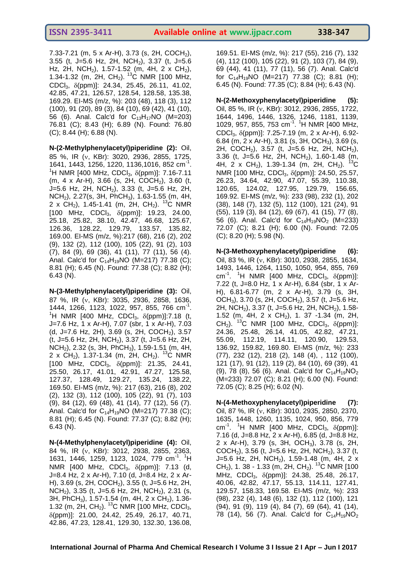7.33-7.21 (m, 5 x Ar-H), 3.73 (s, 2H, COCH<sub>2</sub>), 3.55 (t, J=5.6 Hz, 2H, NCH<sub>2</sub>), 3.37 (t, J=5.6 Hz, 2H, NCH<sub>2</sub>), 1.57-1.52 (m, 4H, 2 x CH<sub>2</sub>), 1.34-1.32 (m, 2H, CH<sub>2</sub>). <sup>13</sup>C NMR [100 MHz, CDCl<sub>3</sub>, δ(ppm)]: 24.34, 25.45, 26.11, 41.02, 42.85, 47.21, 126.57, 128.54, 128.58, 135.38, 169.29. EI-MS (m/z, %): 203 (48), 118 (3), 112 (100), 91 (20), 89 (3), 84 (10), 69 (42), 41 (10), 56 (6). Anal. Calc'd for  $C_{13}H_{17}NO$  (M=203) 76.81 (C); 8.43 (H); 6.89 (N). Found: 76.80 (C); 8.44 (H); 6.88 (N).

**N-(2-Methylphenylacetyl)piperidine (2):** Oil, 85 %, IR (v, KBr): 3020, 2936, 2855, 1725, 1641, 1443, 1256, 1220, 1136,1016, 852 cm-1 . <sup>1</sup>H NMR [400 MHz, CDCl<sub>3</sub>,  $\delta$ (ppm)]: 7.16-7.11 (m, 4 x Ar-H), 3.66 (s, 2H, COCH<sub>2</sub>), 3.60 (t, J=5.6 Hz, 2H, NCH2), 3.33 (t, J=5.6 Hz, 2H, NCH2), 2.27(s, 3H, PhCH3), 1.63-1.55 (m, 4H, 2 x CH<sub>2</sub>), 1.45-1.41 (m, 2H, CH<sub>2</sub>). <sup>13</sup>C NMR [100 MHz, CDCl<sub>3</sub>,  $\delta$ (ppm)]: 19.23, 24.00, 25.18, 25.82, 38.10, 42.47, 46.68, 125.67, 126.36, 128.22, 129.79, 133.57, 135.82, 169.00. EI-MS (m/z, %):217 (68), 216 (2), 202 (9), 132 (2), 112 (100), 105 (22), 91 (2), 103 (7), 84 (9), 69 (36), 41 (11), 77 (11), 56 (4). Anal. Calc'd for  $C_{14}H_{19}NO$  (M=217) 77.38 (C); 8.81 (H); 6.45 (N). Found: 77.38 (C); 8.82 (H); 6.43 (N).

**N-(3-Methylphenylacetyl)piperidine (3):** Oil, 87 %, IR (v, KBr): 3035, 2936, 2858, 1636, 1444, 1266, 1123, 1022, 957, 855, 766 cm<sup>-1</sup>. <sup>1</sup>H NMR [400 MHz, CDCl<sub>3</sub>,  $\delta$ (ppm)]:7.18 (t, J=7.6 Hz, 1 x Ar-H), 7.07 (sbr, 1 x Ar-H), 7.03 (d, J=7.6 Hz, 2H), 3.69 (s, 2H, COCH<sub>2</sub>), 3.57 (t, J=5.6 Hz, 2H, NCH2), 3.37 (t, J=5.6 Hz, 2H, NCH2), 2.32 (s, 3H, PhCH3), 1.59-1.51 (m, 4H, 2 x CH<sub>2</sub>), 1.37-1.34 (m, 2H, CH<sub>2</sub>). <sup>13</sup>C NMR [100 MHz, CDCl<sub>3</sub>,  $\delta$ (ppm)]: 21.35, 24.41, 25.50, 26.17, 41.01, 42.91, 47.27, 125.58, 127.37, 128.49, 129.27, 135.24, 138.22, 169.50. EI-MS (m/z, %): 217 (63), 216 (8), 202 (2), 132 (3), 112 (100), 105 (22), 91 (7), 103 (9), 84 (12), 69 (48), 41 (14), 77 (12), 56 (7). Anal. Calc'd for  $C_{14}H_{19}NO$  (M=217) 77.38 (C); 8.81 (H); 6.45 (N). Found: 77.37 (C); 8.82 (H); 6.43 (N).

**N-(4-Methylphenylacetyl)piperidine (4):** Oil, 84 %, IR (v, KBr): 3012, 2938, 2855, 2363, 1631, 1446, 1259, 1123, 1024, 779 cm<sup>-1</sup>. <sup>1</sup>H NMR [400 MHz, CDCl<sub>3</sub>,  $\delta$ (ppm)]: 7.13 (d, J=8.4 Hz, 2 x Ar-H), 7.10 (d, J=8.4 Hz, 2 x Ar-H), 3.69 (s, 2H, COCH<sub>2</sub>), 3.55 (t, J=5.6 Hz, 2H, NCH<sub>2</sub>), 3.35 (t, J=5.6 Hz, 2H, NCH<sub>2</sub>), 2.31 (s, 3H, PhCH<sub>3</sub>), 1.57-1.54 (m, 4H, 2 x CH<sub>2</sub>), 1.36-1.32 (m, 2H, CH<sub>2</sub>). <sup>13</sup>C NMR [100 MHz, CDCl<sub>3</sub>, (ppm)]: 21.00, 24.42, 25.49, 26.17, 40.71, 42.86, 47.23, 128.41, 129.30, 132.30, 136.08,

169.51. EI-MS (m/z, %): 217 (55), 216 (7), 132 (4), 112 (100), 105 (22), 91 (2), 103 (7), 84 (9), 69 (44), 41 (11), 77 (11), 56 (7). Anal. Calc'd for  $C_{14}H_{19}NO$  (M=217) 77.38 (C); 8.81 (H); 6.45 (N). Found: 77.35 (C); 8.84 (H); 6.43 (N).

**N-(2-Methoxyphenylacetyl)piperidine (5):**  Oil, 85 %, IR (v, KBr): 3012, 2936, 2855, 1722, 1644, 1496, 1446, 1326, 1246, 1181, 1139, 1029, 957, 855, 753 cm<sup>-1</sup>. <sup>1</sup>H NMR [400 MHz, CDCl<sub>3</sub>,  $\delta$ (ppm)]: 7.25-7.19 (m, 2 x Ar-H), 6.92-6.84 (m, 2 x Ar-H), 3.81 (s, 3H, OCH3), 3.69 (s, 2H, COCH<sub>2</sub>), 3.57 (t, J=5.6 Hz, 2H, NCH<sub>2</sub>), 3.36 (t, J=5.6 Hz, 2H, NCH<sub>2</sub>), 1.60-1.48 (m,  $4H$  2 v CH<sub>2</sub>), 130-1.34 (m, 2H, CH<sub>2</sub>), <sup>13</sup>C 4H, 2 x CH<sub>2</sub>), 1.39-1.34 (m, 2H, CH<sub>2</sub>). NMR [100 MHz, CDCl<sub>3</sub>,  $\delta$ (ppm)]: 24.50, 25.57, 26.23, 34.64, 42.90, 47.07, 55.39, 110.38, 120.65, 124.02, 127.95, 129.79, 156.65, 169.92. EI-MS (m/z, %): 233 (98), 232 (1), 202 (38), 148 (7), 132 (5), 112 (100), 121 (24), 91 (55), 119 (3), 84 (12), 69 (67), 41 (15), 77 (8), 56 (6). Anal. Calc'd for  $C_{14}H_{19}NO_2$  (M=233) 72.07 (C); 8.21 (H); 6.00 (N). Found: 72.05 (C); 8.20 (H); 5.98 (N).

**N-(3-Methoxyphenylacetyl)piperidine (6):**  Oil, 83 %, IR (v, KBr): 3010, 2938, 2855, 1634, 1493, 1446, 1264, 1150, 1050, 954, 855, 769 cm<sup>-1</sup>. <sup>1</sup>H NMR [400 MHz, CDCI<sub>3</sub>,  $\delta$ (ppm)]: 7.22 (t, J=8.0 Hz, 1 x Ar-H), 6.84 (sbr, 1 x Ar-H), 6.81-6.77 (m, 2 x Ar-H), 3.79 (s, 3H, OCH<sub>3</sub>), 3.70 (s, 2H, COCH<sub>2</sub>), 3.57 (t, J=5.6 Hz, 2H, NCH<sub>2</sub>), 3.37 (t, J=5.6 Hz, 2H, NCH<sub>2</sub>), 1.58-1.52 (m, 4H, 2 x CH<sub>2</sub>), 1. 37 -1.34 (m, 2H, CH<sub>2</sub>). <sup>13</sup>C NMR [100 MHz, CDCl<sub>3</sub>,  $\delta$ (ppm)]: 24.36, 25.48, 26.14, 41.05, 42.82, 47.21, 55.09, 112.19, 114.11, 120.90, 129.53, 136.92, 159.82, 169.80. EI-MS (m/z, %): 233 (77), 232 (12), 218 (2), 148 (4), , 112 (100), 121 (17), 91 (12), 119 (2), 84 (10), 69 (39), 41 (9), 78 (8), 56 (6). Anal. Calc'd for  $C_{14}H_{19}NO_2$ (M=233) 72.07 (C); 8.21 (H); 6.00 (N). Found: 72.05 (C); 8.25 (H); 6.02 (N).

**N-(4-Methoxyphenylacetyl)piperidine (7):**  Oil, 87 %, IR (v, KBr): 3010, 2935, 2850, 2370, 1635, 1448, 1260, 1135, 1024, 950, 856, 779 cm<sup>-1</sup>. <sup>1</sup>H NMR [400 MHz, CDCl<sub>3</sub>,  $\delta$ (ppm)]: 7.16 (d, J=8.8 Hz, 2 x Ar-H), 6.85 (d, J=8.8 Hz, 2 x Ar-H), 3.79 (s, 3H, OCH<sub>3</sub>), 3.78 (s, 2H, COCH<sub>2</sub>), 3.56 (t, J=5.6 Hz, 2H, NCH<sub>2</sub>), 3.37 (t, J=5.6 Hz, 2H, NCH<sub>2</sub>), 1.59-1.48 (m, 4H, 2 x  $CH<sub>2</sub>$ ), 1. 38 - 1.33 (m, 2H, CH<sub>2</sub>). <sup>13</sup>C NMR [100 MHz, CDCl<sub>3</sub>, δ(ppm)]: 24.38, 25.48, 26.17, 40.06, 42.82, 47.17, 55.13, 114.11, 127.41, 129.57, 158.33, 169.58. EI-MS (m/z, %): 233 (98), 232 (4), 148 (6), 132 (1), 112 (100), 121 (94), 91 (9), 119 (4), 84 (7), 69 (64), 41 (14), 78 (14), 56 (7). Anal. Calc'd for  $C_{14}H_{19}NO_2$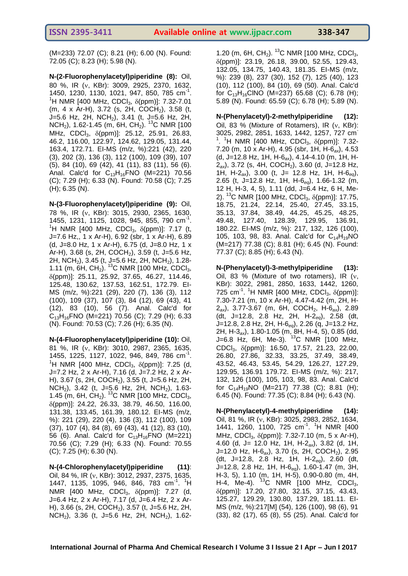(M=233) 72.07 (C); 8.21 (H); 6.00 (N). Found: 72.05 (C); 8.23 (H); 5.98 (N).

**N-(2-Fluorophenylacetyl)piperidine (8):** Oil, 80 %, IR (v, KBr): 3009, 2925, 2370, 1632, 1450, 1230, 1130, 1021, 947, 850, 785 cm<sup>-1</sup>. <sup>1</sup>H NMR [400 MHz, CDCl<sub>3</sub>,  $\delta$ (ppm)]: 7.32-7.01 (m, 4 x Ar-H), 3.72 (s, 2H, COCH<sub>2</sub>), 3.58 (t,  $J=5.6$  Hz, 2H, NCH<sub>2</sub>), 3.41 (t, J=5.6 Hz, 2H, NCH<sub>2</sub>), 1.62-1.45 (m, 6H, CH<sub>2</sub>). <sup>13</sup>C NMR [100 MHz, CDCl<sub>3</sub>, δ(ppm)]: 25.12, 25.91, 26.83, 46.2, 116.00, 122.97, 124.62, 129.05, 131.44, 163.4, 172.71. EI-MS (m/z, %):221 (42), 220 (3), 202 (3), 136 (3), 112 (100), 109 (39), 107 (5), 84 (10), 69 (42), 41 (11), 83 (11), 56 (6). Anal. Calc'd for  $C_{13}H_{16}FNO$  (M=221) 70.56 (C); 7.29 (H); 6.33 (N). Found: 70.58 (C); 7.25 (H); 6.35 (N).

**N-(3-Fluorophenylacetyl)piperidine (9):** Oil, 78 %, IR (v, KBr): 3015, 2930, 2365, 1630, 1455, 1231, 1125, 1028, 945, 855, 790 cm<sup>1</sup>. <sup>1</sup>H NMR [400 MHz, CDCl<sub>3</sub>,  $\delta$ (ppm)]: 7.17 (t, J=7.6 Hz,, 1 x Ar-H), 6.92 (sbr, 1 x Ar-H), 6.89 (d, J=8.0 Hz, 1 x Ar-H), 6.75 (d, J=8.0 Hz, 1 x Ar-H), 3.68 (s, 2H, COCH<sub>2</sub>), 3.59 (t, J=5.6 Hz, 2H, NCH<sub>2</sub>), 3.45 (t, J=5.6 Hz, 2H, NCH<sub>2</sub>), 1.28-1.11 (m,  $\overline{6}$ H, CH<sub>2</sub>). <sup>13</sup>C NMR [100 MHz, CDCI<sub>3</sub>, (ppm)]: 25.11, 25.92, 37.65, 46.27, 114.46, 125.48, 130.62, 137.53, 162.51, 172.79. EI-MS (m/z, %):221 (29), 220 (7), 136 (3), 112 (100), 109 (37), 107 (3), 84 (12), 69 (43), 41 (12), 83 (10), 56 (7). Anal. Calc'd for  $C_{13}H_{16}FNO$  (M=221) 70.56 (C); 7.29 (H); 6.33 (N). Found: 70.53 (C); 7.26 (H); 6.35 (N).

**N-(4-Fluorophenylacetyl)piperidine (10):** Oil, 81 %, IR (v, KBr): 3010, 2987, 2365, 1635, 1455, 1225, 1127, 1022, 946, 849, 786 cm<sup>-1</sup>. <sup>1</sup>H NMR [400 MHz, CDCl<sub>3</sub>,  $\delta$ (ppm)]: 7.25 (d, J=7.2 Hz, 2 x Ar-H), 7.16 (d, J=7.2 Hz, 2 x Ar-H), 3.67 (s, 2H, COCH<sub>2</sub>), 3.55 (t, J=5.6 Hz, 2H, NCH<sub>2</sub>), 3.42 (t, J=5.6 Hz, 2H, NCH<sub>2</sub>), 1.63-1.45 (m, 6H,  $CH<sub>2</sub>$ ). <sup>13</sup>C NMR [100 MHz, CDCl<sub>3</sub>, (ppm)]: 24.22, 26.33, 38.79, 46.50, 116.00, 131.38, 133.45, 161.39, 180.12. EI-MS (m/z, %): 221 (29), 220 (4), 136 (3), 112 (100), 109 (37), 107 (4), 84 (8), 69 (43), 41 (12), 83 (10), 56 (6). Anal. Calc'd for  $C_{13}H_{16}FNO$  (M=221) 70.56 (C); 7.29 (H); 6.33 (N). Found: 70.55 (C); 7.25 (H); 6.30 (N).

**N-(4-Chlorophenylacetyl)piperidine (11)**: Oil, 84 %, IR (v, KBr): 3012, 2937, 2375, 1635, 1447, 1135, 1095, 946, 846, 783 cm<sup>-1</sup>. <sup>1</sup>H NMR [400 MHz, CDCl<sub>3</sub>,  $\delta$ (ppm)]: 7.27 (d, J=6.4 Hz, 2 x Ar-H), 7.17 (d, J=6.4 Hz, 2 x Ar-H), 3.66 (s, 2H, COCH<sub>2</sub>), 3.57 (t, J=5.6 Hz, 2H, NCH<sub>2</sub>), 3.36 (t, J=5.6 Hz, 2H, NCH<sub>2</sub>), 1.621.20 (m, 6H, CH<sub>2</sub>). <sup>13</sup>C NMR [100 MHz, CDCI<sub>3</sub>, (ppm)]: 23.19, 26.18, 39.00, 52.55, 129.43, 132.05, 134.75, 140.43, 181.35. EI-MS (m/z, %): 239 (8), 237 (30), 152 (7), 125 (40), 123 (10), 112 (100), 84 (10), 69 (50). Anal. Calc'd for  $C_{13}H_{16}CINO$  (M=237) 65.68 (C); 6.78 (H); 5.89 (N). Found: 65.59 (C); 6.78 (H); 5.89 (N).

**N-(Phenylacetyl)-2-methylpiperidine (12):**  Oil, 83 % (Mixture of Rotamers), IR  $(v, KBr)$ ; 3025, 2982, 2851, 1633, 1442, 1257, 727 cm<sup>-</sup>  $1.$  <sup>1</sup>H NMR [400 MHz, CDCl<sub>3</sub>,  $\delta$ (ppm)]: 7.32-7.20 (m, 10 x Ar-H), 4.95 (sbr, 1H, H-6*ax*), 4.53 (d, J=12.8 Hz, 1H, H-6*ax*), 4.14-4.10 (m, 1H, H-2<sub>ax</sub>), 3.72 (s, 4H, COCH<sub>2</sub>), 3.60 (d, J=12.8 Hz, 1H, H-2*ax*), 3.00 (t, J= 12.8 Hz, 1H, H-6*eq*), 2.65 (t, J=12.8 Hz, 1H, H-6*eq*), 1.66-1.32 (m, 12 H, H-3, 4, 5), 1.11 (dd, J=6.4 Hz, 6 H, Me-2). <sup>13</sup>C NMR [100 MHz, CDCl<sub>3</sub>,  $\delta$ (ppm)]: 17.75, 18.75, 21.24, 22.14, 25.40, 27.45, 33.15, 35.13, 37.84, 38.49, 44.25, 45.25, 48.25, 49.48, 127.40, 128.39, 129.95, 136.91, 180.22. EI-MS (m/z, %): 217, 132, 126 (100), 105, 103, 98, 83. Anal. Calc'd for  $C_{14}H_{19}NO$ (M=217) 77.38 (C); 8.81 (H); 6.45 (N). Found: 77.37 (C); 8.85 (H); 6.43 (N).

**N-(Phenylacetyl)-3-methylpiperidine (13):**  Oil, 83 % (Mixture of two rotamers), IR  $(v,$ KBr): 3022, 2981, 2850, 1633, 1442, 1260, 725 cm<sup>-1</sup>. <sup>1</sup>H NMR [400 MHz, CDCl<sub>3</sub>,  $\delta$ (ppm)]: 7.30-7.21 (m, 10 x Ar-H), 4.47-4.42 (m, 2H, H-2*ax*), 3.77-3.67 (m, 6H, COCH2, H-6*ax*), 2.89 (dt, J=12.8, 2.8 Hz, 2H, H-2*eq*), 2.58 (dt, J=12.8, 2.8 Hz, 2H, H-6*eq*), 2.26 (q, J=13.2 Hz, 2H, H-3*ax*), 1.80-1.05 (m, 8H, H-4, 5), 0.85 (dd, J=6.8 Hz, 6H, Me-3). <sup>13</sup>C NMR  $(100 \text{ MHz})$ , CDCl<sub>3</sub>,  $\delta$ (ppm)]: 16.50, 17.57, 21.23, 22.00, 26.80, 27.86, 32.33, 33.25, 37.49, 38.49, 43.52, 46.43, 53.45, 54.29, 126.27, 127.29, 129.95, 136.91 179.72. EI-MS (m/z, %): 217, 132, 126 (100), 105, 103, 98, 83. Anal. Calc'd for  $C_{14}H_{19}NO$  (M=217) 77.38 (C); 8.81 (H); 6.45 (N). Found: 77.35 (C); 8.84 (H); 6.43 (N).

**N-(Phenylacetyl)-4-methylpiperidine (14):**  Oil, 81 %, IR (v, KBr): 3025, 2983, 2852, 1634, 1441, 1260, 1100, 725 cm<sup>-1</sup>. <sup>1</sup>H NMR [400 MHz, CDCI<sub>3</sub>,  $\delta$ (ppm)]: 7.32-7.10 (m, 5 x Ar-H), 4.60 (d, J= 12.0 Hz, 1H, H-2*ax*), 3.82 (d, 1H, J=12.0 Hz, H-6*ax*), 3.70 (s, 2H, COCH2), 2.95 (dt, J=12.8, 2.8 Hz, 1H, H-2*eq*), 2.60 (dt, J=12.8, 2.8 Hz, 1H, H-6*eq*), 1.60-1.47 (m, 3H, H-3, 5), 1.10 (m, 1H, H-5), 0.90-0.80 (m, 4H, H-4, Me-4).  $^{13}C$  NMR [100 MHz, CDCI<sub>3</sub>, (ppm)]: 17.20, 27.80, 32.15, 37.15, 43.43, 125.27, 129.29, 130.80, 137.29, 181.11. EI-MS (m/z, %):217[M] (54), 126 (100), 98 (6), 91 (33), 82 (17), 65 (8), 55 (25). Anal. Calc'd for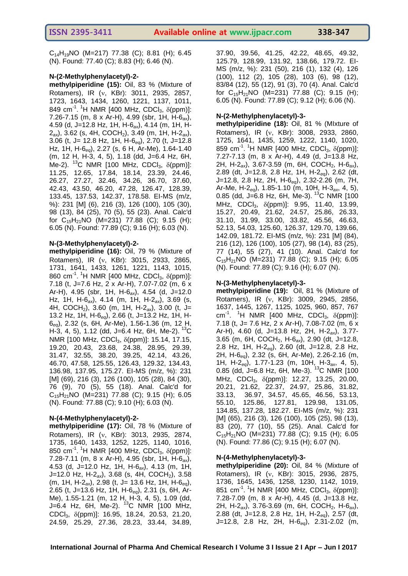$C_{14}H_{19}NO$  (M=217) 77.38 (C); 8.81 (H); 6.45 (N). Found: 77.40 (C); 8.83 (H); 6.46 (N).

#### **N-(2-Methylphenylacetyl)-2-**

**methylpiperidine (15):** Oil, 83 % (Mixture of Rotamers), IR (v, KBr): 3011, 2935, 2857, 1723, 1643, 1434, 1260, 1221, 1137, 1011, 849 cm<sup>-1</sup>. <sup>1</sup>H NMR [400 MHz, CDCl<sub>3</sub>,  $\delta$ (ppm)]: 7.26-7.15 (m, 8 x Ar-H), 4.99 (sbr, 1H, H-6*ax*), 4.59 (d, J=12.8 Hz, 1H, H-6*ax*), 4.14 (m, 1H, H-2ax), 3.62 (s, 4H, COCH2), 3.49 (m, 1H, H-2*ax*), 3.06 (t, J= 12.8 Hz, 1H, H-6*eq*), 2.70 (t, J=12.8 Hz, 1H, H-6*eq*), 2.27 (s, 6 H, Ar-Me), 1.64-1.40 (m, 12 H, H-3, 4, 5), 1.18 (dd, J=6.4 Hz, 6H, Me-2). <sup>13</sup>C NMR [100 MHz, CDCl<sub>3</sub>,  $\delta$ (ppm)]: 11.25, 12.65, 17.84, 18.14, 23.39, 24.46, 26.27, 27.27, 32.46, 34.26, 36.70, 37.60, 42.43, 43.50, 46.20, 47.28, 126.47, 128.39, 133.45, 137.53, 142.37, 178.58. EI-MS (m/z, %): 231 [M] (6), 216 (3), 126 (100), 105 (30), 98 (13), 84 (25), 70 (5), 55 (23). Anal. Calc'd for  $C_{15}H_{21}NO$  (M=231) 77.88 (C); 9.15 (H); 6.05 (N). Found: 77.89 (C); 9.16 (H); 6.03 (N).

#### **N-(3-Methylphenylacetyl)-2-**

**methylpiperidine (16):** Oil, 79 % (Mixture of Rotamers), IR (v, KBr): 3015, 2933, 2865, 1731, 1641, 1433, 1261, 1221, 1143, 1015, 860 cm<sup>-1</sup>. <sup>1</sup>H NMR [400 MHz, CDCl<sub>3</sub>,  $\delta$ (ppm)]: 7.18 (t, J=7.6 Hz, 2 x Ar-H), 7.07-7.02 (m, 6 x Ar-H), 4.95 (sbr, 1H, H-6*ax*), 4.54 (d, J=12.0 Hz, 1H, H-6*ax*), 4.14 (m, 1H, H-2*ax*), 3.69 (s, 4H, COCH2), 3.60 (m, 1H, H-2*ax*), 3.00 (t, J= 13.2 Hz, 1H, H-6*eq*), 2.66 (t, J=13.2 Hz, 1H, H-6*eq*), 2.32 (s, 6H, Ar-Me), 1.56-1.36 (m, 12 H, H-3, 4, 5), 1.12 (dd, J=6.4 Hz, 6H, Me-2). <sup>13</sup>C NMR [100 MHz, CDCl<sub>3</sub>,  $δ$ (ppm)]: 15.14, 17.15, 19.20, 20.43, 23.68, 24.38, 28.95, 29.39, 31.47, 32.55, 38.20, 39.25, 42.14, 43.26, 46.70, 47.58, 125.55, 126.43, 129.32, 134.43, 136.98, 137.95, 175.27. EI-MS (m/z, %): 231 [M] (69), 216 (3), 126 (100), 105 (28), 84 (30), 76 (9), 70 (5), 55 (18). Anal. Calc'd for  $C_{15}H_{21}NO$  (M=231) 77.88 (C); 9.15 (H); 6.05 (N). Found: 77.88 (C); 9.10 (H); 6.03 (N).

#### **N-(4-Methylphenylacetyl)-2-**

**methylpiperidine (17):** Oil, 78 % (Mixture of Rotamers), IR (v, KBr): 3013, 2935, 2874, 1735, 1640, 1433, 1252, 1225, 1140, 1016, 850 cm<sup>-1</sup>. <sup>1</sup>H NMR [400 MHz, CDCl<sub>3</sub>,  $\delta$ (ppm)]: 7.28-7.11 (m, 8 x Ar-H), 4.95 (sbr, 1H, H-6*ax*), 4.53 (d, J=12.0 Hz, 1H, H-6*ax*), 4.13 (m, 1H, J=12.0 Hz, H-2*ax*), 3.68 (s, 4H, COCH2), 3.58 (m, 1H, H-2*ax*), 2.98 (t, J= 13.6 Hz, 1H, H-6*eq*), 2.65 (t, J=13.6 Hz, 1H, H-6*eq*), 2.31 (s, 6H, Ar-Me), 1.55-1.21 (m, 12 H, H-3, 4, 5), 1.09 (dd, J=6.4 Hz, 6H, Me-2).  $^{13}$ C NMR [100 MHz, CDCl<sub>3</sub>,  $\delta$ (ppm)]: 16.95, 18.24, 20.53, 21.20, 24.59, 25.29, 27.36, 28.23, 33.44, 34.89,

37.90, 39.56, 41.25, 42.22, 48.65, 49.32, 125.79, 128.99, 131.92, 138.66, 179.72. EI-MS (m/z, %): 231 (50), 216 (1), 132 (4), 126 (100), 112 (2), 105 (28), 103 (6), 98 (12), 83/84 (12), 55 (12), 91 (3), 70 (4). Anal. Calc'd for  $C_{15}H_{21}NO$  (M=231) 77.88 (C); 9.15 (H); 6.05 (N). Found: 77.89 (C); 9.12 (H); 6.06 (N).

#### **N-(2-Methylphenylacetyl)-3-**

**methylpiperidine (18):** Oil, 81 % (MIxture of Rotamers), IR (v, KBr): 3008, 2933, 2860, 1725, 1641, 1435, 1259, 1222, 1140, 1020, 859 cm<sup>-1</sup>. <sup>1</sup>H NMR [400 MHz, CDCl<sub>3</sub>,  $\delta$ (ppm)]: 7.27-7.13 (m, 8 x Ar-H), 4.49 (d, J=13.8 Hz, 2H, H-2*ax*), 3.67-3.59 (m, 6H, COCH2, H-6*ax*), 2.89 (dt, J=12.8, 2.8 Hz, 1H, H-2*eq*), 2.62 (dt, J=12.8, 2.8 Hz, 2H, H-6*eq*), 2.32-2.26 (m, 7H, Ar-Me, H-2*eq*), 1.85-1.10 (m, 10H, H-3*ax*, 4, 5), 0.85 (dd, J=6.8 Hz, 6H, Me-3). <sup>13</sup>C NMR [100 MHz, CDCl<sub>3</sub>,  $\delta$ (ppm)]: 9.95, 11.40, 13.99, 15.27, 20.49, 21.62, 24.57, 25.86, 26.33, 31.10, 31.99, 33.00, 33.82, 45.56, 46.63, 52.13, 54.03, 125.60, 126.37, 129.70, 139.66, 142.09, 181.72. EI-MS (m/z, %): 231 [M] (84), 216 (12), 126 (100), 105 (27), 98 (14), 83 (25), 77 (14), 55 (27), 41 (10). Anal. Calc'd for  $C_{15}H_{21}NO$  (M=231) 77.88 (C); 9.15 (H); 6.05 (N). Found: 77.89 (C); 9.16 (H); 6.07 (N).

#### **N-(3-Methylphenylacetyl)-3-**

**methylpiperidine (19):** Oil, 81 % (Mixture of Rotamers), IR (v, KBr): 3009, 2945, 2856, 1637, 1445, 1267, 1125, 1025, 960, 857, 767 cm<sup>-1</sup>. <sup>1</sup>H NMR [400 MHz, CDCl<sub>3</sub>,  $\delta$ (ppm)]: 7.18 (t, J= 7.6 Hz, 2 x Ar-H), 7.08-7.02 (m, 6 x Ar-H), 4.60 (d, J=13.8 Hz, 2H, H-2*ax*), 3.77- 3.65 (m, 6H, COCH2, H-6*ax*), 2.90 (dt, J=12.8, 2.8 Hz, 1H, H-2*eq*), 2.60 (dt, J=12.8, 2.8 Hz, 2H, H-6*eq*), 2.32 (s, 6H, Ar-Me), 2.26-2.16 (m, 1H, H-2*eq*), 1.77-1.23 (m, 10H, H-3*ax*, 4, 5), 0.85 (dd, J=6.8 Hz, 6H, Me-3). <sup>13</sup>C NMR [100 MHz, CDCl<sub>3</sub>, δ(ppm)]: 12.27, 13.25, 20.00, 20.21, 21.62, 22.37, 24.97, 25.86, 31.82, 33.13, 36.97, 34.57, 45.65, 46.56, 53.13, 55.10, 125.86, 127.81, 129.98, 131.05, 134.85, 137.28, 182.27. EI-MS (m/z, %): 231 [M] (65), 216 (3), 126 (100), 105 (25), 98 (13), 83 (20), 77 (10), 55 (25). Anal. Calc'd for  $C_{15}H_{21}NO$  (M=231) 77.88 (C); 9.15 (H); 6.05 (N). Found: 77.86 (C); 9.15 (H); 6.07 (N).

#### **N-(4-Methylphenylacetyl)-3-**

**methylpiperidine (20):** Oil, 84 % (Mixture of Rotamers), IR (v, KBr): 3015, 2936, 2875, 1736, 1645, 1436, 1258, 1230, 1142, 1019, 851 cm<sup>-1</sup>. <sup>1</sup>H NMR [400 MHz, CDCl<sub>3</sub>,  $\delta$ (ppm)]: 7.28-7.09 (m, 8 x Ar-H), 4.45 (d, J=13.8 Hz, 2H, H-2*ax*), 3.76-3.69 (m, 6H, COCH2, H-6*ax*), 2.88 (dt, J=12.8, 2.8 Hz, 1H, H-2*eq*), 2.57 (dt, J=12.8, 2.8 Hz, 2H, H-6*eq*), 2.31-2.02 (m,